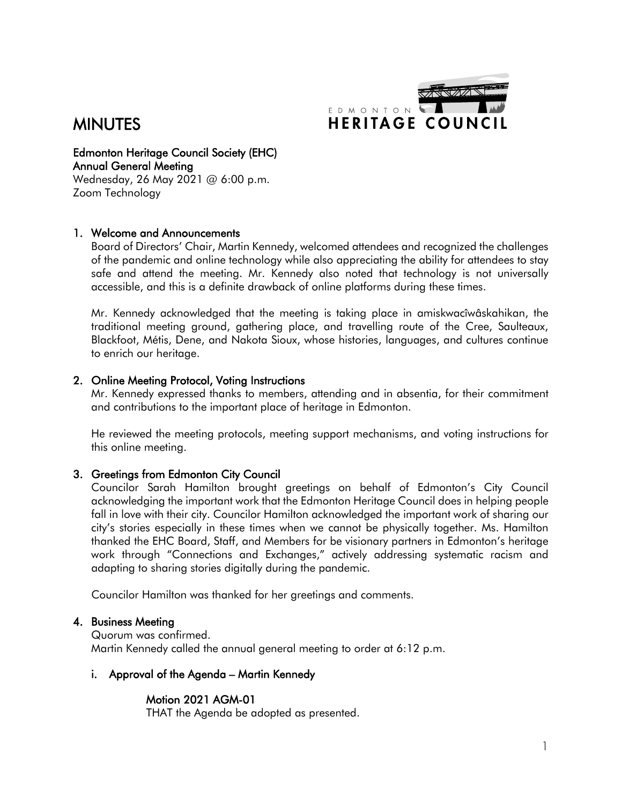

# **MINUTES**

Edmonton Heritage Council Society (EHC) Annual General Meeting

Wednesday, 26 May 2021 @ 6:00 p.m. Zoom Technology

## 1. Welcome and Announcements

Board of Directors' Chair, Martin Kennedy, welcomed attendees and recognized the challenges of the pandemic and online technology while also appreciating the ability for attendees to stay safe and attend the meeting. Mr. Kennedy also noted that technology is not universally accessible, and this is a definite drawback of online platforms during these times.

Mr. Kennedy acknowledged that the meeting is taking place in amiskwacîwâskahikan, the traditional meeting ground, gathering place, and travelling route of the Cree, Saulteaux, Blackfoot, Métis, Dene, and Nakota Sioux, whose histories, languages, and cultures continue to enrich our heritage.

### 2. Online Meeting Protocol, Voting Instructions

Mr. Kennedy expressed thanks to members, attending and in absentia, for their commitment and contributions to the important place of heritage in Edmonton.

He reviewed the meeting protocols, meeting support mechanisms, and voting instructions for this online meeting.

## 3. Greetings from Edmonton City Council

Councilor Sarah Hamilton brought greetings on behalf of Edmonton's City Council acknowledging the important work that the Edmonton Heritage Council does in helping people fall in love with their city. Councilor Hamilton acknowledged the important work of sharing our city's stories especially in these times when we cannot be physically together. Ms. Hamilton thanked the EHC Board, Staff, and Members for be visionary partners in Edmonton's heritage work through "Connections and Exchanges," actively addressing systematic racism and adapting to sharing stories digitally during the pandemic.

Councilor Hamilton was thanked for her greetings and comments.

### 4. Business Meeting

Quorum was confirmed. Martin Kennedy called the annual general meeting to order at 6:12 p.m.

### i. Approval of the Agenda – Martin Kennedy

### Motion 2021 AGM-01

THAT the Agenda be adopted as presented.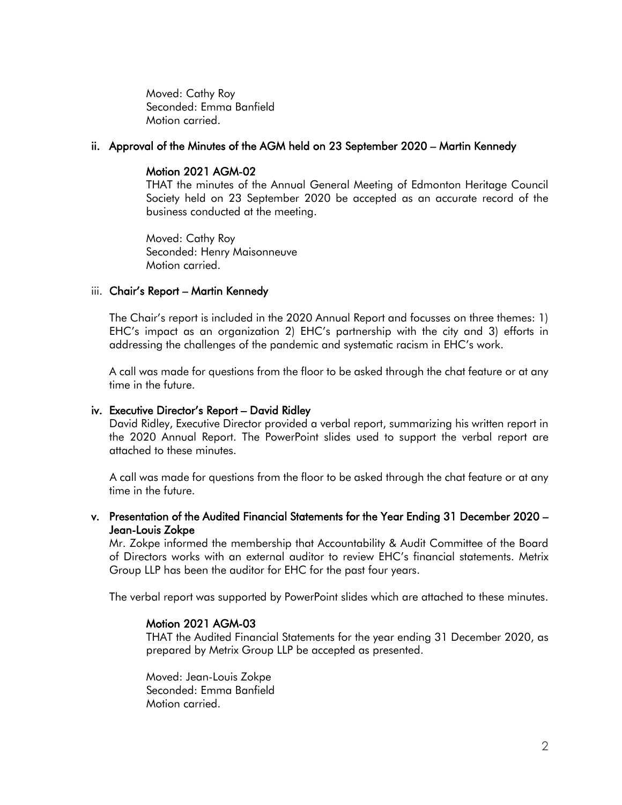Moved: Cathy Roy Seconded: Emma Banfield Motion carried.

### ii. Approval of the Minutes of the AGM held on 23 September 2020 – Martin Kennedy

## Motion 2021 AGM-02

THAT the minutes of the Annual General Meeting of Edmonton Heritage Council Society held on 23 September 2020 be accepted as an accurate record of the business conducted at the meeting.

Moved: Cathy Roy Seconded: Henry Maisonneuve Motion carried.

## iii. Chair's Report – Martin Kennedy

The Chair's report is included in the 2020 Annual Report and focusses on three themes: 1) EHC's impact as an organization 2) EHC's partnership with the city and 3) efforts in addressing the challenges of the pandemic and systematic racism in EHC's work.

A call was made for questions from the floor to be asked through the chat feature or at any time in the future.

### iv. Executive Director's Report – David Ridley

David Ridley, Executive Director provided a verbal report, summarizing his written report in the 2020 Annual Report. The PowerPoint slides used to support the verbal report are attached to these minutes.

A call was made for questions from the floor to be asked through the chat feature or at any time in the future.

v. Presentation of the Audited Financial Statements for the Year Ending 31 December 2020 – Jean-Louis Zokpe

Mr. Zokpe informed the membership that Accountability & Audit Committee of the Board of Directors works with an external auditor to review EHC's financial statements. Metrix Group LLP has been the auditor for EHC for the past four years.

The verbal report was supported by PowerPoint slides which are attached to these minutes.

### Motion 2021 AGM-03

THAT the Audited Financial Statements for the year ending 31 December 2020, as prepared by Metrix Group LLP be accepted as presented.

Moved: Jean-Louis Zokpe Seconded: Emma Banfield Motion carried.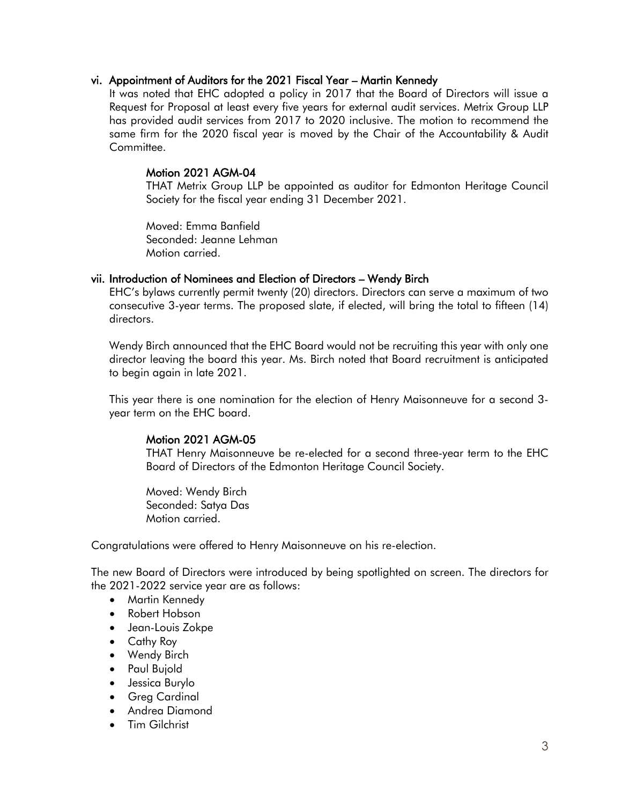#### vi. Appointment of Auditors for the 2021 Fiscal Year – Martin Kennedy

It was noted that EHC adopted a policy in 2017 that the Board of Directors will issue a Request for Proposal at least every five years for external audit services. Metrix Group LLP has provided audit services from 2017 to 2020 inclusive. The motion to recommend the same firm for the 2020 fiscal year is moved by the Chair of the Accountability & Audit Committee.

### Motion 2021 AGM-04

THAT Metrix Group LLP be appointed as auditor for Edmonton Heritage Council Society for the fiscal year ending 31 December 2021.

Moved: Emma Banfield Seconded: Jeanne Lehman Motion carried.

#### vii. Introduction of Nominees and Election of Directors – Wendy Birch

EHC's bylaws currently permit twenty (20) directors. Directors can serve a maximum of two consecutive 3-year terms. The proposed slate, if elected, will bring the total to fifteen (14) directors.

Wendy Birch announced that the EHC Board would not be recruiting this year with only one director leaving the board this year. Ms. Birch noted that Board recruitment is anticipated to begin again in late 2021.

This year there is one nomination for the election of Henry Maisonneuve for a second 3 year term on the EHC board.

#### Motion 2021 AGM-05

THAT Henry Maisonneuve be re-elected for a second three-year term to the EHC Board of Directors of the Edmonton Heritage Council Society.

Moved: Wendy Birch Seconded: Satya Das Motion carried.

Congratulations were offered to Henry Maisonneuve on his re-election.

The new Board of Directors were introduced by being spotlighted on screen. The directors for the 2021-2022 service year are as follows:

- Martin Kennedy
- Robert Hobson
- Jean-Louis Zokpe
- Cathy Roy
- Wendy Birch
- Paul Bujold
- Jessica Burylo
- Greg Cardinal
- Andrea Diamond
- Tim Gilchrist